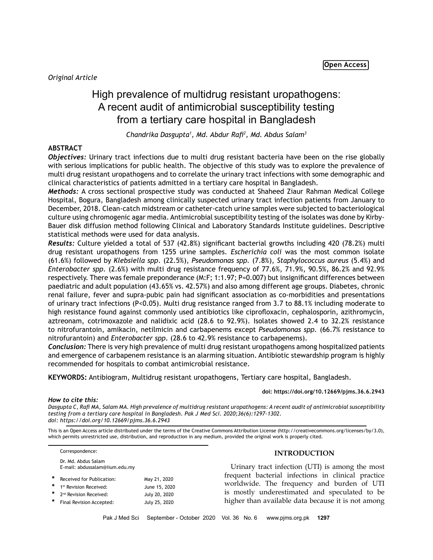# High prevalence of multidrug resistant uropathogens: A recent audit of antimicrobial susceptibility testing from a tertiary care hospital in Bangladesh

*Chandrika Dasgupta1 , Md. Abdur Rafi<sup>2</sup> , Md. Abdus Salam3*

# **ABSTRACT**

*Objectives:* Urinary tract infections due to multi drug resistant bacteria have been on the rise globally with serious implications for public health. The objective of this study was to explore the prevalence of multi drug resistant uropathogens and to correlate the urinary tract infections with some demographic and clinical characteristics of patients admitted in a tertiary care hospital in Bangladesh.

*Methods:* A cross sectional prospective study was conducted at Shaheed Ziaur Rahman Medical College Hospital, Bogura, Bangladesh among clinically suspected urinary tract infection patients from January to December, 2018. Clean-catch midstream or catheter-catch urine samples were subjected to bacteriological culture using chromogenic agar media. Antimicrobial susceptibility testing of the isolates was done by Kirby-Bauer disk diffusion method following Clinical and Laboratory Standards Institute guidelines. Descriptive statistical methods were used for data analysis.

*Results:* Culture yielded a total of 537 (42.8%) significant bacterial growths including 420 (78.2%) multi drug resistant uropathogens from 1255 urine samples. *Escherichia coli* was the most common isolate (61.6%) followed by *Klebsiella spp*. (22.5%), *Pseudomonas spp.* (7.8%), *Staphylococcus aureus* (5.4%) and *Enterobacter spp.* (2.6%) with multi drug resistance frequency of 77.6%, 71.9%, 90.5%, 86.2% and 92.9% respectively. There was female preponderance (M:F; 1:1.97; P=0.007) but insignificant differences between paediatric and adult population (43.65% vs. 42.57%) and also among different age groups. Diabetes, chronic renal failure, fever and supra-pubic pain had significant association as co-morbidities and presentations of urinary tract infections (P<0.05). Multi drug resistance ranged from 3.7 to 88.1% including moderate to high resistance found against commonly used antibiotics like ciprofloxacin, cephalosporin, azithromycin, aztreonam, cotrimoxazole and nalidixic acid (28.6 to 92.9%). Isolates showed 2.4 to 32.2% resistance to nitrofurantoin, amikacin, netilmicin and carbapenems except *Pseudomonas spp.* (66.7% resistance to nitrofurantoin) and *Enterobacter spp*. (28.6 to 42.9% resistance to carbapenems).

*Conclusion:* There is very high prevalence of multi drug resistant uropathogens among hospitalized patients and emergence of carbapenem resistance is an alarming situation. Antibiotic stewardship program is highly recommended for hospitals to combat antimicrobial resistance.

**KEYWORDS:** Antibiogram, Multidrug resistant uropathogens, Tertiary care hospital, Bangladesh.

**doi: https://doi.org/10.12669/pjms.36.6.2943**

#### *How to cite this:*

*Dasgupta C, Rafi MA, Salam MA. High prevalence of multidrug resistant uropathogens: A recent audit of antimicrobial susceptibility testing from a tertiary care hospital in Bangladesh. Pak J Med Sci. 2020;36(6):1297-1302. doi: https://doi.org/10.12669/pjms.36.6.2943*

This is an Open Access article distributed under the terms of the Creative Commons Attribution License (http://creativecommons.org/licenses/by/3.0), which permits unrestricted use, distribution, and reproduction in any medium, provided the original work is properly cited.

Correspondence:

Dr. Md. Abdus Salam E-mail: abdussalam@iium.edu.my

| * | Received for Publication:          | May 21, 2020  |
|---|------------------------------------|---------------|
| * | 1st Revision Received:             | June 15, 2020 |
| * | 2 <sup>nd</sup> Revision Received: | July 20, 2020 |
| * | Final Revision Accepted:           | July 25, 2020 |

# **INTRODUCTION**

Urinary tract infection (UTI) is among the most frequent bacterial infections in clinical practice worldwide. The frequency and burden of UTI is mostly underestimated and speculated to be higher than available data because it is not among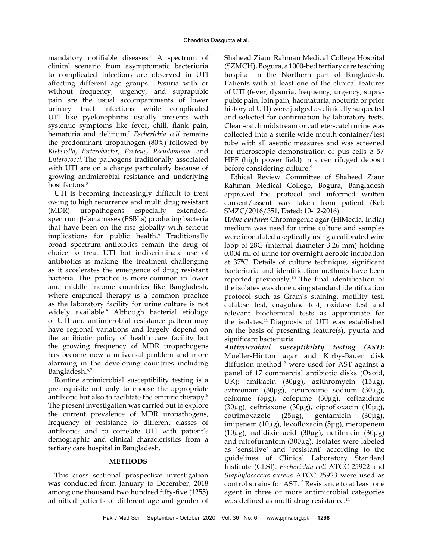mandatory notifiable diseases.<sup>1</sup> A spectrum of clinical scenario from asymptomatic bacteriuria to complicated infections are observed in UTI affecting different age groups. Dysuria with or without frequency, urgency, and suprapubic pain are the usual accompaniments of lower urinary tract infections while complicated UTI like pyelonephritis usually presents with systemic symptoms like fever, chill, flank pain, hematuria and delirium.2 *Escherichia coli* remains the predominant uropathogen (80%) followed by *Klebsiella*, *Enterobacter*, *Proteus*, *Pseudomonas* and *Enterococci*. The pathogens traditionally associated with UTI are on a change particularly because of growing antimicrobial resistance and underlying host factors.3

UTI is becoming increasingly difficult to treat owing to high recurrence and multi drug resistant (MDR) uropathogens especially extendedspectrum β-lactamases (ESBLs) producing bacteria that have been on the rise globally with serious implications for public health.4 Traditionally broad spectrum antibiotics remain the drug of choice to treat UTI but indiscriminate use of antibiotics is making the treatment challenging as it accelerates the emergence of drug resistant bacteria. This practice is more common in lower and middle income countries like Bangladesh, where empirical therapy is a common practice as the laboratory facility for urine culture is not widely available.5 Although bacterial etiology of UTI and antimicrobial resistance pattern may have regional variations and largely depend on the antibiotic policy of health care facility but the growing frequency of MDR uropathogens has become now a universal problem and more alarming in the developing countries including Bangladesh.6,7

Routine antimicrobial susceptibility testing is a pre-requisite not only to choose the appropriate antibiotic but also to facilitate the empiric therapy.8 The present investigation was carried out to explore the current prevalence of MDR uropathogens, frequency of resistance to different classes of antibiotics and to correlate UTI with patient's demographic and clinical characteristics from a tertiary care hospital in Bangladesh.

# **METHODS**

This cross sectional prospective investigation was conducted from January to December, 2018 among one thousand two hundred fifty-five (1255) admitted patients of different age and gender of Shaheed Ziaur Rahman Medical College Hospital (SZMCH), Bogura, a 1000-bed tertiary care teaching hospital in the Northern part of Bangladesh. Patients with at least one of the clinical features of UTI (fever, dysuria, frequency, urgency, suprapubic pain, loin pain, haematuria, nocturia or prior history of UTI) were judged as clinically suspected and selected for confirmation by laboratory tests. Clean-catch midstream or catheter-catch urine was collected into a sterile wide mouth container/test tube with all aseptic measures and was screened for microscopic demonstration of pus cells  $\geq 5/$ HPF (high power field) in a centrifuged deposit before considering culture.<sup>9</sup>

Ethical Review Committee of Shaheed Ziaur Rahman Medical College, Bogura, Bangladesh approved the protocol and informed written consent/assent was taken from patient (Ref: SMZC/2016/351, Dated: 10-12-2016).

*Urine culture:* Chromogenic agar (HiMedia, India) medium was used for urine culture and samples were inoculated aseptically using a calibrated wire loop of 28G (internal diameter 3.26 mm) holding 0.004 ml of urine for overnight aerobic incubation at 370 C. Details of culture technique, significant bacteriuria and identification methods have been reported previously.10 The final identification of the isolates was done using standard identification protocol such as Gram's staining, motility test, catalase test, coagulase test, oxidase test and relevant biochemical tests as appropriate for the isolates.11 Diagnosis of UTI was established on the basis of presenting feature(s), pyuria and significant bacteriuria.

*Antimicrobial susceptibility testing (AST):* Mueller-Hinton agar and Kirby-Bauer disk diffusion method<sup>12</sup> were used for AST against a panel of 17 commercial antibiotic disks (Oxoid, UK): amikacin (30µg), azithromycin (15µg), aztreonam (30μg), cefuroxime sodium (30µg), cefixime (5µg), cefepime (30µg), ceftazidime (30µg), ceftriaxone (30µg), ciprofloxacin (10μg), cotrimoxazole (25µg), gentamicin (30μg), imipenem (10µg), levofloxacin (5μg), meropenem (10µg), nalidixic acid (30µg), netilmicin (30μg) and nitrofurantoin (300µg). Isolates were labeled as 'sensitive' and 'resistant' according to the guidelines of Clinical Laboratory Standard Institute (CLSI). *Escherichia coli* ATCC 25922 and *Staphylococcus aureus* ATCC 25923 were used as control strains for AST.<sup>13</sup> Resistance to at least one agent in three or more antimicrobial categories was defined as multi drug resistance.<sup>14</sup>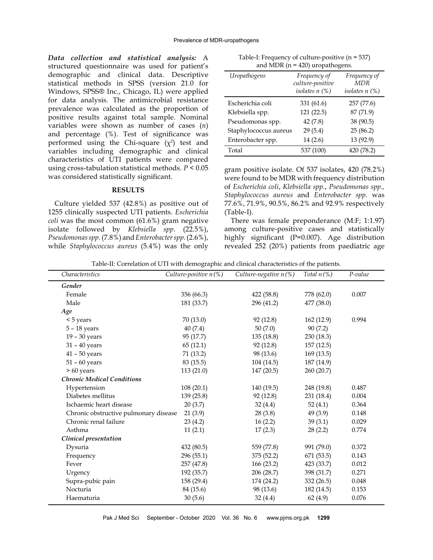*Data collection and statistical analysis:* A structured questionnaire was used for patient's demographic and clinical data. Descriptive statistical methods in SPSS (version 21.0 for Windows, SPSS® Inc., Chicago, IL) were applied for data analysis. The antimicrobial resistance prevalence was calculated as the proportion of positive results against total sample. Nominal variables were shown as number of cases (*n*) and percentage (%). Test of significance was performed using the Chi-square  $(\chi^2)$  test and variables including demographic and clinical characteristics of UTI patients were compared using cross-tabulation statistical methods. *P* < 0.05 was considered statistically significant.

#### **RESULTS**

Culture yielded 537 (42.8%) as positive out of 1255 clinically suspected UTI patients. *Escherichia coli* was the most common (61.6%) gram negative isolate followed by *Klebsiella spp*. (22.5%), *Pseudomonas spp.* (7.8%) and *Enterobacter spp.* (2.6%), while *Staphylococcus aureus* (5.4%) was the only

Table-I: Frequency of culture-positive (n = 537) and MDR ( $n = 420$ ) uropathogens.

| Uropathogens          | Frequency of<br>culture-positive | Frequency of<br><b>MDR</b> |
|-----------------------|----------------------------------|----------------------------|
|                       | isolates $n$ $(\%)$              | isolates $n$ $(\%)$        |
| Escherichia coli      | 331 (61.6)                       | 257 (77.6)                 |
| Klebsiella spp.       | 121 (22.5)                       | 87 (71.9)                  |
| Pseudomonas spp.      | 42(7.8)                          | 38 (90.5)                  |
| Staphylococcus aureus | 29(5.4)                          | 25(86.2)                   |
| Enterobacter spp.     | 14(2.6)                          | 13 (92.9)                  |
| Total                 | 537 (100)                        | 420 (78.2)                 |

gram positive isolate. Of 537 isolates, 420 (78.2%) were found to be MDR with frequency distribution of *Escherichia coli*, *Klebsiella spp*., *Pseudomonas spp., Staphylococcus aureus* and *Enterobacter spp.* was 77.6%, 71.9%, 90.5%, 86.2% and 92.9% respectively (Table-I).

There was female preponderance (M:F; 1:1.97) among culture-positive cases and statistically highly significant (P=0.007). Age distribution revealed 252 (20%) patients from paediatric age

Table-II: Correlation of UTI with demographic and clinical characteristics of the patients.

| Characteristics                       | Culture-positive $n$ (%) | Culture-negative $n$ (%) | Total $n$ (%) | P-value |
|---------------------------------------|--------------------------|--------------------------|---------------|---------|
| Gender                                |                          |                          |               |         |
| Female                                | 356 (66.3)               | 422 (58.8)               | 778 (62.0)    | 0.007   |
| Male                                  | 181 (33.7)               | 296 (41.2)               | 477 (38.0)    |         |
| Age                                   |                          |                          |               |         |
| < 5 years                             | 70(13.0)                 | 92 (12.8)                | 162(12.9)     | 0.994   |
| $5 - 18$ years                        | 40(7.4)                  | 50(7.0)                  | 90(7.2)       |         |
| $19 - 30$ years                       | 95 (17.7)                | 135 (18.8)               | 230 (18.3)    |         |
| $31 - 40$ years                       | 65(12.1)                 | 92(12.8)                 | 157(12.5)     |         |
| $41 - 50$ years                       | 71(13.2)                 | 98 (13.6)                | 169(13.5)     |         |
| $51 - 60$ years                       | 83(15.5)                 | 104(14.5)                | 187 (14.9)    |         |
| > 60 years                            | 113(21.0)                | 147 (20.5)               | 260 (20.7)    |         |
| <b>Chronic Medical Conditions</b>     |                          |                          |               |         |
| Hypertension                          | 108(20.1)                | 140 (19.5)               | 248 (19.8)    | 0.487   |
| Diabetes mellitus                     | 139(25.8)                | 92(12.8)                 | 231 (18.4)    | 0.004   |
| Ischaemic heart disease               | 20(3.7)                  | 32(4.4)                  | 52(4.1)       | 0.364   |
| Chronic obstructive pulmonary disease | 21(3.9)                  | 28(3.8)                  | 49(3.9)       | 0.148   |
| Chronic renal failure                 | 23(4.2)                  | 16(2.2)                  | 39(3.1)       | 0.029   |
| Asthma                                | 11(2.1)                  | 17(2.3)                  | 28(2.2)       | 0.774   |
| Clinical presentation                 |                          |                          |               |         |
| Dysuria                               | 432 (80.5)               | 559 (77.8)               | 991 (79.0)    | 0.372   |
| Frequency                             | 296 (55.1)               | 375 (52.2)               | 671(53.5)     | 0.143   |
| Fever                                 | 257 (47.8)               | 166(23.2)                | 423 (33.7)    | 0.012   |
| Urgency                               | 192 (35.7)               | 206(28.7)                | 398 (31.7)    | 0.271   |
| Supra-pubic pain                      | 158 (29.4)               | 174 (24.2)               | 332(26.5)     | 0.048   |
| Nocturia                              | 84 (15.6)                | 98 (13.6)                | 182 (14.5)    | 0.153   |
| Haematuria                            | 30(5.6)                  | 32(4.4)                  | 62(4.9)       | 0.076   |
|                                       |                          |                          |               |         |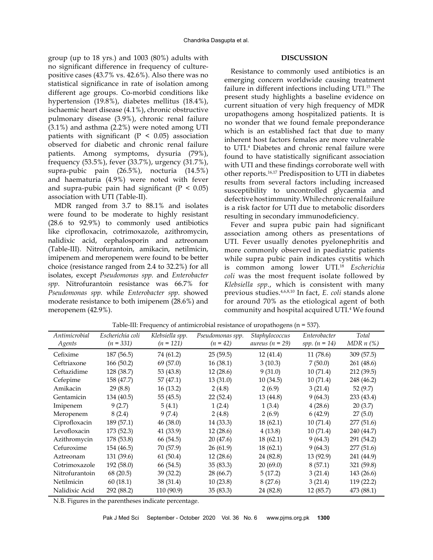group (up to 18 yrs.) and 1003 (80%) adults with no significant difference in frequency of culturepositive cases (43.7% vs. 42.6%). Also there was no statistical significance in rate of isolation among different age groups. Co-morbid conditions like hypertension (19.8%), diabetes mellitus (18.4%), ischaemic heart disease (4.1%), chronic obstructive pulmonary disease (3.9%), chronic renal failure (3.1%) and asthma (2.2%) were noted among UTI patients with significant ( $P < 0.05$ ) association observed for diabetic and chronic renal failure patients. Among symptoms, dysuria (79%), frequency (53.5%), fever (33.7%), urgency (31.7%), supra-pubic pain (26.5%), nocturia (14.5%) and haematuria (4.9%) were noted with fever and supra-pubic pain had significant  $(P < 0.05)$ association with UTI (Table-II).

MDR ranged from 3.7 to 88.1% and isolates were found to be moderate to highly resistant (28.6 to 92.9%) to commonly used antibiotics like ciprofloxacin, cotrimoxazole, azithromycin, nalidixic acid, cephalosporin and aztreonam (Table-III). Nitrofurantoin, amikacin, netilmicin, imipenem and meropenem were found to be better choice (resistance ranged from 2.4 to 32.2%) for all isolates, except *Pseudomonas spp.* and *Enterobacter spp*. Nitrofurantoin resistance was 66.7% for *Pseudomonas spp.* while *Enterobacter spp*. showed moderate resistance to both imipenem (28.6%) and meropenem (42.9%).

## **DISCUSSION**

Resistance to commonly used antibiotics is an emerging concern worldwide causing treatment failure in different infections including UTI.15 The present study highlights a baseline evidence on current situation of very high frequency of MDR uropathogens among hospitalized patients. It is no wonder that we found female preponderance which is an established fact that due to many inherent host factors females are more vulnerable to UTI.4 Diabetes and chronic renal failure were found to have statistically significant association with UTI and these findings corroborate well with other reports.16,17 Predisposition to UTI in diabetes results from several factors including increased susceptibility to uncontrolled glycaemia and defective host immunity. While chronic renal failure is a risk factor for UTI due to metabolic disorders resulting in secondary immunodeficiency.

Fever and supra pubic pain had significant association among others as presentations of UTI. Fever usually denotes pyelonephritis and more commonly observed in paediatric patients while supra pubic pain indicates cystitis which is common among lower UTI.18 *Escherichia coli* was the most frequent isolate followed by *Klebsiella spp*., which is consistent with many previous studies.4,6,8,10 In fact, *E. coli* stands alone for around 70% as the etiological agent of both community and hospital acquired UTI.4 We found

| Antimicrobial<br>Agents | Escherichia coli<br>$(n = 331)$ | Klebsiella spp.<br>$(n = 121)$ | Pseudomonas spp.<br>$(n = 42)$ | Staphylococcus<br>aureus (n = 29) | Enterobacter<br>spp. $(n = 14)$ | Total<br>$MDR n$ (%) |
|-------------------------|---------------------------------|--------------------------------|--------------------------------|-----------------------------------|---------------------------------|----------------------|
| Cefixime                | 187 (56.5)                      | 74 (61.2)                      | 25(59.5)                       | 12(41.4)                          | 11(78.6)                        | 309 (57.5)           |
| Ceftriaxone             | 166 (50.2)                      | 69 (57.0)                      | 16 (38.1)                      | 3(10.3)                           | 7(50.0)                         | 261 (48.6)           |
| Ceftazidime             | 128 (38.7)                      | 53 (43.8)                      | 12 (28.6)                      | 9(31.0)                           | 10(71.4)                        | 212 (39.5)           |
| Cefepime                | 158 (47.7)                      | 57 (47.1)                      | 13 (31.0)                      | 10(34.5)                          | 10(71.4)                        | 248 (46.2)           |
| Amikacin                | 29(8.8)                         | 16 (13.2)                      | 2(4.8)                         | 2(6.9)                            | 3(21.4)                         | 52(9.7)              |
| Gentamicin              | 134 (40.5)                      | 55 (45.5)                      | 22(52.4)                       | 13 (44.8)                         | 9(64.3)                         | 233 (43.4)           |
| Imipenem                | 9(2.7)                          | 5(4.1)                         | 1(2.4)                         | 1(3.4)                            | 4(28.6)                         | 20(3.7)              |
| Meropenem               | 8(2.4)                          | 9(7.4)                         | 2(4.8)                         | 2(6.9)                            | 6(42.9)                         | 27(5.0)              |
| Ciprofloxacin           | 189 (57.1)                      | 46 (38.0)                      | 14 (33.3)                      | 18(62.1)                          | 10(71.4)                        | 277 (51.6)           |
| Levofloxacin            | 173 (52.3)                      | 41 (33.9)                      | 12(28.6)                       | 4(13.8)                           | 10(71.4)                        | 240 (44.7)           |
| Azithromycin            | 178 (53.8)                      | 66 (54.5)                      | 20 (47.6)                      | 18(62.1)                          | 9(64.3)                         | 291 (54.2)           |
| Cefuroxime              | 154 (46.5)                      | 70 (57.9)                      | 26(61.9)                       | 18(62.1)                          | 9(64.3)                         | 277 (51.6)           |
| Aztreonam               | 131 (39.6)                      | 61 (50.4)                      | 12 (28.6)                      | 24 (82.8)                         | 13 (92.9)                       | 241 (44.9)           |
| Cotrimoxazole           | 192 (58.0)                      | 66 (54.5)                      | 35 (83.3)                      | 20(69.0)                          | 8(57.1)                         | 321 (59.8)           |
| Nitrofurantoin          | 68 (20.5)                       | 39 (32.2)                      | 28 (66.7)                      | 5(17.2)                           | 3(21.4)                         | 143 (26.6)           |
| Netilmicin              | 60(18.1)                        | 38 (31.4)                      | 10(23.8)                       | 8(27.6)                           | 3(21.4)                         | 119 (22.2)           |
| Nalidixic Acid          | 292 (88.2)                      | 110 (90.9)                     | 35(83.3)                       | 24 (82.8)                         | 12 (85.7)                       | 473 (88.1)           |

Table-III: Frequency of antimicrobial resistance of uropathogens (n = 537).

N.B. Figures in the parentheses indicate percentage.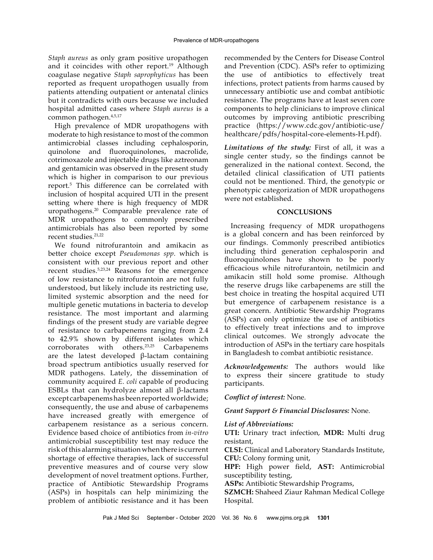*Staph aureus* as only gram positive uropathogen and it coincides with other report.<sup>19</sup> Although coagulase negative *Staph saprophyticus* has been reported as frequent uropathogen usually from patients attending outpatient or antenatal clinics but it contradicts with ours because we included hospital admitted cases where *Staph aureus* is a common pathogen.4,5,17

High prevalence of MDR uropathogens with moderate to high resistance to most of the common antimicrobial classes including cephalosporin, quinolone and fluoroquinolones, macrolide, cotrimoxazole and injectable drugs like aztreonam and gentamicin was observed in the present study which is higher in comparison to our previous report.5 This difference can be correlated with inclusion of hospital acquired UTI in the present setting where there is high frequency of MDR uropathogens.20 Comparable prevalence rate of MDR uropathogens to commonly prescribed antimicrobials has also been reported by some recent studies.21,22

We found nitrofurantoin and amikacin as better choice except *Pseudomonas spp.* which is consistent with our previous report and other recent studies.5,23,24 Reasons for the emergence of low resistance to nitrofurantoin are not fully understood, but likely include its restricting use, limited systemic absorption and the need for multiple genetic mutations in bacteria to develop resistance. The most important and alarming findings of the present study are variable degree of resistance to carbapenems ranging from 2.4 to 42.9% shown by different isolates which corroborates with others.23,25 Carbapenems are the latest developed  $β$ -lactam containing broad spectrum antibiotics usually reserved for MDR pathogens. Lately, the dissemination of community acquired *E. coli* capable of producing ESBLs that can hydrolyze almost all β-lactams except carbapenems has been reported worldwide; consequently, the use and abuse of carbapenems have increased greatly with emergence of carbapenem resistance as a serious concern. Evidence based choice of antibiotics from *in-vitro* antimicrobial susceptibility test may reduce the risk of this alarming situation when there is current shortage of effective therapies, lack of successful preventive measures and of course very slow development of novel treatment options. Further, practice of Antibiotic Stewardship Programs (ASPs) in hospitals can help minimizing the problem of antibiotic resistance and it has been

recommended by the Centers for Disease Control and Prevention (CDC). ASPs refer to optimizing the use of antibiotics to effectively treat infections, protect patients from harms caused by unnecessary antibiotic use and combat antibiotic resistance. The programs have at least seven core components to help clinicians to improve clinical outcomes by improving antibiotic prescribing practice (https://www.cdc.gov/antibiotic-use/ healthcare/pdfs/hospital-core-elements-H.pdf).

*Limitations of the study:* First of all, it was a single center study, so the findings cannot be generalized in the national context. Second, the detailed clinical classification of UTI patients could not be mentioned. Third, the genotypic or phenotypic categorization of MDR uropathogens were not established.

#### **CONCLUSIONS**

Increasing frequency of MDR uropathogens is a global concern and has been reinforced by our findings. Commonly prescribed antibiotics including third generation cephalosporin and fluoroquinolones have shown to be poorly efficacious while nitrofurantoin, netilmicin and amikacin still hold some promise. Although the reserve drugs like carbapenems are still the best choice in treating the hospital acquired UTI but emergence of carbapenem resistance is a great concern. Antibiotic Stewardship Programs (ASPs) can only optimize the use of antibiotics to effectively treat infections and to improve clinical outcomes. We strongly advocate the introduction of ASPs in the tertiary care hospitals in Bangladesh to combat antibiotic resistance.

*Acknowledgements:* The authors would like to express their sincere gratitude to study participants.

*Conflict of interest:* None.

*Grant Support & Financial Disclosures:* None.

## *List of Abbreviations:*

**UTI:** Urinary tract infection, **MDR:** Multi drug resistant,

**CLSI:** Clinical and Laboratory Standards Institute, **CFU:** Colony forming unit,

**HPF:** High power field, **AST:** Antimicrobial susceptibility testing,

**ASPs:** Antibiotic Stewardship Programs,

**SZMCH:** Shaheed Ziaur Rahman Medical College Hospital.